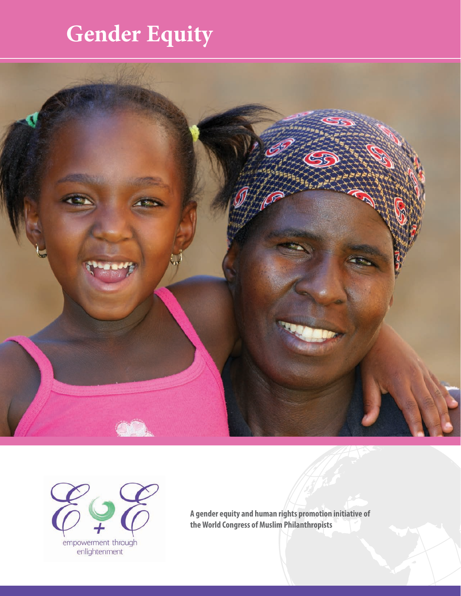## **Gender Equity**





**A gender equity and human rights promotion initiative of the World Congress of Muslim Philanthropists**